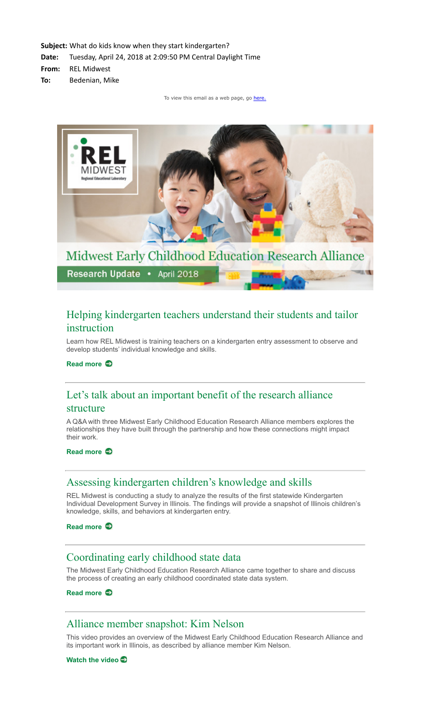

# **Midwest Early Childhood Education Research Alliance**

Research Update • April 2018

## Helping kindergarten teachers understand their students and tailor instruction

Learn how REL Midwest is training teachers on a kindergarten entry assessment to observe and develop students' individual knowledge and skills.

#### **[Read more](https://ies.ed.gov/ncee/edlabs/regions/midwest/blogs/helping-teachers-tailor-kindergarten-instruction.aspx?utm_source=newsletter-relmw&utm_campaign=2018-04-mecera)**

# Let's talk about an important benefit of the research alliance structure

A Q&A with three Midwest Early Childhood Education Research Alliance members explores the relationships they have built through the partnership and how these connections might impact their work.

#### **[Read more](https://ies.ed.gov/ncee/edlabs/regions/midwest/blogs/benefit-of-research-alliance-structure.aspx?utm_source=newsletter-relmw&utm_campaign=2018-04-mecera)**

### Assessing kindergarten children's knowledge and skills

REL Midwest is conducting a study to analyze the results of the first statewide Kindergarten Individual Development Survey in Illinois. The findings will provide a snapshot of Illinois children's knowledge, skills, and behaviors at kindergarten entry.

### **[Read more](https://ies.ed.gov/ncee/edlabs/regions/midwest/blogs/assessing-kindergarten-knowledge-and-skills.aspx?utm_source=newsletter-relmw&utm_campaign=2018-04-mecera)**

### Coordinating early childhood state data

The Midwest Early Childhood Education Research Alliance came together to share and discuss the process of creating an early childhood coordinated state data system.

### **[Read more](https://ies.ed.gov/ncee/edlabs/regions/midwest/blogs/coordinating-early-childhood-state-data.aspx?utm_source=newsletter-relmw&utm_campaign=2018-04-mecera)**

### Alliance member snapshot: Kim Nelson

This video provides an overview of the Midwest Early Childhood Education Research Alliance and its important work in Illinois, as described by alliance member Kim Nelson.

**[Watch the video](https://ies.ed.gov/ncee/edlabs/regions/midwest/blogs/alliance-member-snapshot-kim-nelson.aspx?utm_source=newsletter-relmw&utm_campaign=2018-04-mecera)**